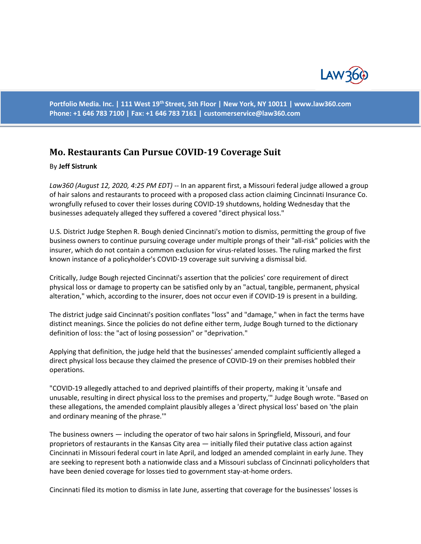

**Portfolio Media. Inc. | 111 West 19th Street, 5th Floor | New York, NY 10011 | www.law360.com Phone: +1 646 783 7100 | Fax: +1 646 783 7161 | customerservice@law360.com**

## **Mo. Restaurants Can Pursue COVID-19 Coverage Suit**

## By **Jeff Sistrunk**

*Law360 (August 12, 2020, 4:25 PM EDT) --* In an apparent first, a Missouri federal judge allowed a group of hair salons and restaurants to proceed with a proposed class action claiming Cincinnati Insurance Co. wrongfully refused to cover their losses during COVID-19 shutdowns, holding Wednesday that the businesses adequately alleged they suffered a covered "direct physical loss."

U.S. District Judge Stephen R. Bough denied Cincinnati's motion to dismiss, permitting the group of five business owners to continue pursuing coverage under multiple prongs of their "all-risk" policies with the insurer, which do not contain a common exclusion for virus-related losses. The ruling marked the first known instance of a policyholder's COVID-19 coverage suit surviving a dismissal bid.

Critically, Judge Bough rejected Cincinnati's assertion that the policies' core requirement of direct physical loss or damage to property can be satisfied only by an "actual, tangible, permanent, physical alteration," which, according to the insurer, does not occur even if COVID-19 is present in a building.

The district judge said Cincinnati's position conflates "loss" and "damage," when in fact the terms have distinct meanings. Since the policies do not define either term, Judge Bough turned to the dictionary definition of loss: the "act of losing possession" or "deprivation."

Applying that definition, the judge held that the businesses' amended complaint sufficiently alleged a direct physical loss because they claimed the presence of COVID-19 on their premises hobbled their operations.

"COVID-19 allegedly attached to and deprived plaintiffs of their property, making it 'unsafe and unusable, resulting in direct physical loss to the premises and property,'" Judge Bough wrote. "Based on these allegations, the amended complaint plausibly alleges a 'direct physical loss' based on 'the plain and ordinary meaning of the phrase.'"

The business owners — including the operator of two hair salons in Springfield, Missouri, and four proprietors of restaurants in the Kansas City area — initially filed their putative class action against Cincinnati in Missouri federal court in late April, and lodged an amended complaint in early June. They are seeking to represent both a nationwide class and a Missouri subclass of Cincinnati policyholders that have been denied coverage for losses tied to government stay-at-home orders.

Cincinnati filed its motion to dismiss in late June, asserting that coverage for the businesses' losses is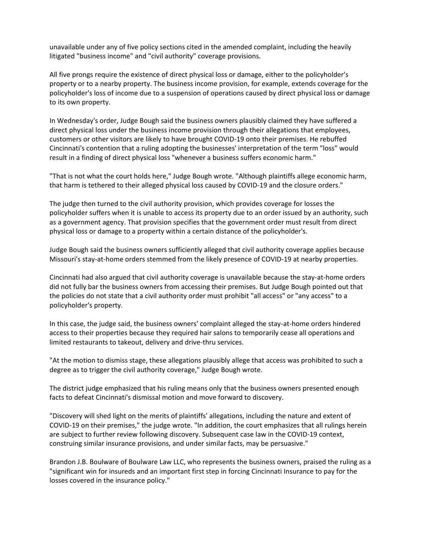unavailable under any of five policy sections cited in the amended complaint, including the heavily litigated "business income" and "civil authority" coverage provisions.

All five prongs require the existence of direct physical loss or damage, either to the policyholder's property or to a nearby property. The business income provision, for example, extends coverage for the policyholder's loss of income due to a suspension of operations caused by direct physical loss or damage to its own property.

In Wednesday's order, Judge Bough said the business owners plausibly claimed they have suffered a direct physical loss under the business income provision through their allegations that employees, customers or other visitors are likely to have brought COVID-19 onto their premises. He rebuffed Cincinnati's contention that a ruling adopting the businesses' interpretation of the term "loss" would result in a finding of direct physical loss "whenever a business suffers economic harm."

"That is not what the court holds here," Judge Bough wrote. "Although plaintiffs allege economic harm, that harm is tethered to their alleged physical loss caused by COVID-19 and the closure orders."

The judge then turned to the civil authority provision, which provides coverage for losses the policyholder suffers when it is unable to access its property due to an order issued by an authority, such as a government agency. That provision specifies that the government order must result from direct physical loss or damage to a property within a certain distance of the policyholder's.

Judge Bough said the business owners sufficiently alleged that civil authority coverage applies because Missouri's stay-at-home orders stemmed from the likely presence of COVID-19 at nearby properties.

Cincinnati had also argued that civil authority coverage is unavailable because the stay-at-home orders did not fully bar the business owners from accessing their premises. But Judge Bough pointed out that the policies do not state that a civil authority order must prohibit "all access" or "any access" to a policyholder's property.

In this case, the judge said, the business owners' complaint alleged the stay-at-home orders hindered access to their properties because they required hair salons to temporarily cease all operations and limited restaurants to takeout, delivery and drive-thru services.

"At the motion to dismiss stage, these allegations plausibly allege that access was prohibited to such a degree as to trigger the civil authority coverage," Judge Bough wrote.

The district judge emphasized that his ruling means only that the business owners presented enough facts to defeat Cincinnati's dismissal motion and move forward to discovery.

"Discovery will shed light on the merits of plaintiffs' allegations, including the nature and extent of COVID-19 on their premises," the judge wrote. "In addition, the court emphasizes that all rulings herein are subject to further review following discovery. Subsequent case law in the COVID-19 context, construing similar insurance provisions, and under similar facts, may be persuasive."

Brandon J.B. Boulware of Boulware Law LLC, who represents the business owners, praised the ruling as a "significant win for insureds and an important first step in forcing Cincinnati Insurance to pay for the losses covered in the insurance policy."